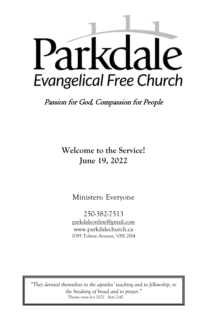# Parkdale **Evangelical Free Church**

Passion for God, Compassion for People

**Welcome to the Service! June 19, 2022**

Ministers: Everyone

250-382-7513 [parkdaleonline@gmail.com](mailto:parkdalechurch@shaw.ca) [www.parkdalechurch.ca](http://www.parkdalechurch.ca/) 1095 Tolmie Avenue, V8X 2H4

*"They devoted themselves to the apostles' teaching and to fellowship, to the breaking of bread and to prayer."* Theme verse for 2022 Acts 2:42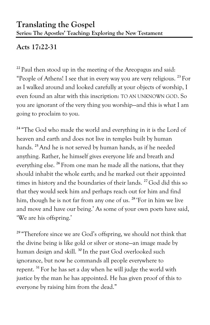# **Acts 17:22-31**

**<sup>22</sup>** Paul then stood up in the meeting of the Areopagus and said: "People of Athens! I see that in every way you are very religious. **<sup>23</sup>** For as I walked around and looked carefully at your objects of worship, I even found an altar with this inscription: TO AN UNKNOWN GOD. So you are ignorant of the very thing you worship—and this is what I am going to proclaim to you.

<sup>24</sup> "The God who made the world and everything in it is the Lord of heaven and earth and does not live in temples built by human hands. **<sup>25</sup>**And he is not served by human hands, as if he needed anything. Rather, he himself gives everyone life and breath and everything else. **<sup>26</sup>** From one man he made all the nations, that they should inhabit the whole earth; and he marked out their appointed times in history and the boundaries of their lands. **<sup>27</sup>**God did this so that they would seek him and perhaps reach out for him and find him, though he is not far from any one of us. **<sup>28</sup>** 'For in him we live and move and have our being.' As some of your own poets have said, 'We are his offspring.'

<sup>29</sup> "Therefore since we are God's offspring, we should not think that the divine being is like gold or silver or stone—an image made by human design and skill. **<sup>30</sup>** In the past God overlooked such ignorance, but now he commands all people everywhere to repent. **<sup>31</sup>** For he has set a day when he will judge the world with justice by the man he has appointed. He has given proof of this to everyone by raising him from the dead."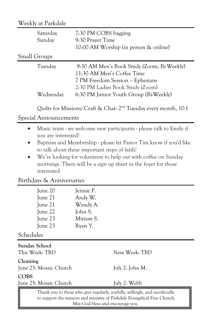## Weekly at Parkdale

| Saturday<br>Sunday   | 7:30 PM COBS bagging<br>9:30 Prayer Time<br>10:00 AM Worship (in person & online)                                                                                                          |  |
|----------------------|--------------------------------------------------------------------------------------------------------------------------------------------------------------------------------------------|--|
| <b>Small Groups</b>  |                                                                                                                                                                                            |  |
| Tuesday<br>Wednesday | 9:30 AM Men's Book Study (Zoom, Bi-Weekly)<br>11:30 AM Men's Coffee Time<br>7 PM Freedom Session - Ephesians<br>2:30 PM Ladies Book Study (Zoom)<br>6:30 PM Junior Youth Group (Bi-Weekly) |  |

Quilts for Missions/Craft & Chat: 2nd Tuesday every month, 10-1

#### Special Announcements

- Music team we welcome new participants please talk to Emily if you are interested!
- Baptism and Membership please let Pastor Tim know if you'd like to talk about these important steps of faith!
- We're looking for volunteers to help out with coffee on Sunday mornings. There will be a sign up sheet in the foyer for those interested

#### Birthdays & Anniversaries

|                                    | June 20<br>June 21<br>June 21<br>June 22<br>June 23                                                                                                                                           | Jennie P.<br>Andy W.<br>Wendy A.<br>John S.<br>Miriam S. |                 |  |
|------------------------------------|-----------------------------------------------------------------------------------------------------------------------------------------------------------------------------------------------|----------------------------------------------------------|-----------------|--|
|                                    | June 23                                                                                                                                                                                       | Ryan Y.                                                  |                 |  |
|                                    | Schedules                                                                                                                                                                                     |                                                          |                 |  |
|                                    | Sunday School<br>This Week: TBD                                                                                                                                                               |                                                          | Next Week: TBD  |  |
| Cleaning<br>June 25: Mosaic Church |                                                                                                                                                                                               |                                                          | July 2: John M. |  |
| <b>COBS</b>                        |                                                                                                                                                                                               |                                                          |                 |  |
| June 25: Mosaic Church             |                                                                                                                                                                                               |                                                          | July 2: Webb    |  |
|                                    | Thank you to those who give regularly, joyfully, willingly, and sacrificially<br>to support the mission and ministry of Parkdale Evangelical Free Church.<br>May God bless and encourage you. |                                                          |                 |  |